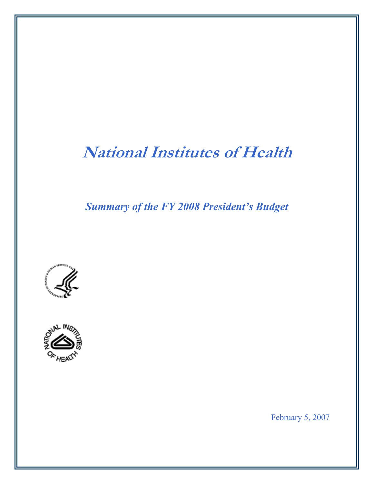# **National Institutes of Health**

*Summary of the FY 2008 President's Budget* 





February 5, 2007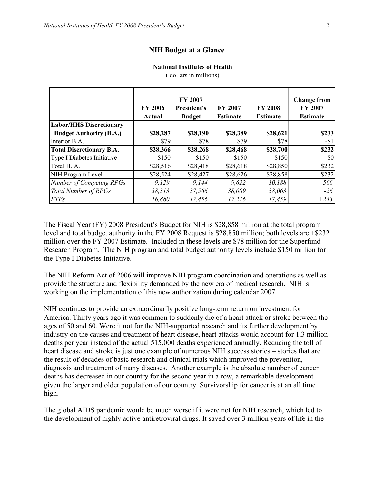## **NIH Budget at a Glance**

## **National Institutes of Health**

|                                 | <b>FY 2006</b><br>Actual | <b>FY 2007</b><br><b>President's</b><br><b>Budget</b> | <b>FY 2007</b><br><b>Estimate</b> | <b>FY 2008</b><br><b>Estimate</b> | <b>Change from</b><br><b>FY 2007</b><br><b>Estimate</b> |
|---------------------------------|--------------------------|-------------------------------------------------------|-----------------------------------|-----------------------------------|---------------------------------------------------------|
| <b>Labor/HHS Discretionary</b>  |                          |                                                       |                                   |                                   |                                                         |
| <b>Budget Authority (B.A.)</b>  | \$28,287                 | \$28,190                                              | \$28,389                          | \$28,621                          | \$233                                                   |
| Interior B.A.                   | \$79                     | \$78                                                  | \$79                              | \$78                              | $-51$                                                   |
| <b>Total Discretionary B.A.</b> | \$28,366                 | \$28,268                                              | \$28,468                          | \$28,700                          | \$232                                                   |
| Type I Diabetes Initiative      | \$150                    | \$150                                                 | \$150                             | \$150                             | \$0                                                     |
| Total B. A.                     | \$28,516                 | \$28,418                                              | \$28,618                          | \$28,850                          | \$232                                                   |
| NIH Program Level               | \$28,524                 | \$28,427                                              | \$28,626                          | \$28,858                          | \$232                                                   |
| <b>Number of Competing RPGs</b> | 9.129                    | 9,144                                                 | 9,622                             | 10,188                            | 566                                                     |
| <b>Total Number of RPGs</b>     | 38,313                   | 37,566                                                | 38,089                            | 38,063                            | $-26$                                                   |
| <b>FTEs</b>                     | 16,880                   | 17,456                                                | 17,216                            | 17,459                            | $+243$                                                  |

( dollars in millions)

The Fiscal Year (FY) 2008 President's Budget for NIH is \$28,858 million at the total program level and total budget authority in the FY 2008 Request is \$28,850 million; both levels are +\$232 million over the FY 2007 Estimate. Included in these levels are \$78 million for the Superfund Research Program. The NIH program and total budget authority levels include \$150 million for the Type I Diabetes Initiative.

The NIH Reform Act of 2006 will improve NIH program coordination and operations as well as provide the structure and flexibility demanded by the new era of medical research**.** NIH is working on the implementation of this new authorization during calendar 2007.

NIH continues to provide an extraordinarily positive long-term return on investment for America. Thirty years ago it was common to suddenly die of a heart attack or stroke between the ages of 50 and 60. Were it not for the NIH-supported research and its further development by industry on the causes and treatment of heart disease, heart attacks would account for 1.3 million deaths per year instead of the actual 515,000 deaths experienced annually. Reducing the toll of heart disease and stroke is just one example of numerous NIH success stories – stories that are the result of decades of basic research and clinical trials which improved the prevention, diagnosis and treatment of many diseases. Another example is the absolute number of cancer deaths has decreased in our country for the second year in a row, a remarkable development given the larger and older population of our country. Survivorship for cancer is at an all time high.

The global AIDS pandemic would be much worse if it were not for NIH research, which led to the development of highly active antiretroviral drugs. It saved over 3 million years of life in the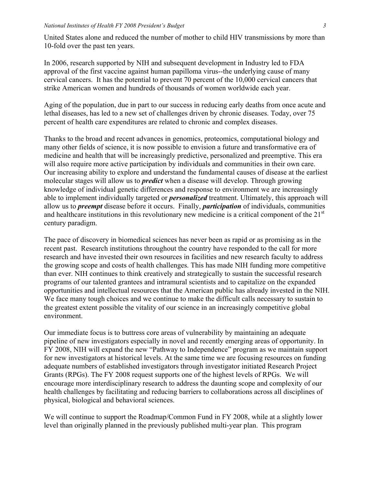United States alone and reduced the number of mother to child HIV transmissions by more than 10-fold over the past ten years.

In 2006, research supported by NIH and subsequent development in Industry led to FDA approval of the first vaccine against human papilloma virus--the underlying cause of many cervical cancers. It has the potential to prevent 70 percent of the 10,000 cervical cancers that strike American women and hundreds of thousands of women worldwide each year.

Aging of the population, due in part to our success in reducing early deaths from once acute and lethal diseases, has led to a new set of challenges driven by chronic diseases. Today, over 75 percent of health care expenditures are related to chronic and complex diseases.

Thanks to the broad and recent advances in genomics, proteomics, computational biology and many other fields of science, it is now possible to envision a future and transformative era of medicine and health that will be increasingly predictive, personalized and preemptive. This era will also require more active participation by individuals and communities in their own care. Our increasing ability to explore and understand the fundamental causes of disease at the earliest molecular stages will allow us to *predict* when a disease will develop. Through growing knowledge of individual genetic differences and response to environment we are increasingly able to implement individually targeted or *personalized* treatment. Ultimately, this approach will allow us to *preempt* disease before it occurs. Finally, *participation* of individuals, communities and healthcare institutions in this revolutionary new medicine is a critical component of the 21<sup>st</sup> century paradigm.

The pace of discovery in biomedical sciences has never been as rapid or as promising as in the recent past. Research institutions throughout the country have responded to the call for more research and have invested their own resources in facilities and new research faculty to address the growing scope and costs of health challenges. This has made NIH funding more competitive than ever. NIH continues to think creatively and strategically to sustain the successful research programs of our talented grantees and intramural scientists and to capitalize on the expanded opportunities and intellectual resources that the American public has already invested in the NIH. We face many tough choices and we continue to make the difficult calls necessary to sustain to the greatest extent possible the vitality of our science in an increasingly competitive global environment.

Our immediate focus is to buttress core areas of vulnerability by maintaining an adequate pipeline of new investigators especially in novel and recently emerging areas of opportunity. In FY 2008, NIH will expand the new "Pathway to Independence" program as we maintain support for new investigators at historical levels. At the same time we are focusing resources on funding adequate numbers of established investigators through investigator initiated Research Project Grants (RPGs). The FY 2008 request supports one of the highest levels of RPGs. We will encourage more interdisciplinary research to address the daunting scope and complexity of our health challenges by facilitating and reducing barriers to collaborations across all disciplines of physical, biological and behavioral sciences.

We will continue to support the Roadmap/Common Fund in FY 2008, while at a slightly lower level than originally planned in the previously published multi-year plan. This program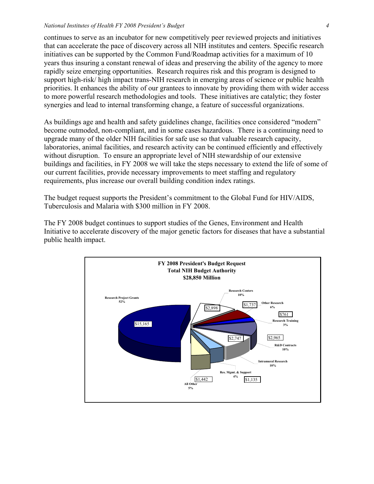#### *National Institutes of Health FY 2008 President's Budget 4*

continues to serve as an incubator for new competitively peer reviewed projects and initiatives that can accelerate the pace of discovery across all NIH institutes and centers. Specific research initiatives can be supported by the Common Fund/Roadmap activities for a maximum of 10 years thus insuring a constant renewal of ideas and preserving the ability of the agency to more rapidly seize emerging opportunities. Research requires risk and this program is designed to support high-risk/ high impact trans-NIH research in emerging areas of science or public health priorities. It enhances the ability of our grantees to innovate by providing them with wider access to more powerful research methodologies and tools. These initiatives are catalytic; they foster synergies and lead to internal transforming change, a feature of successful organizations.

As buildings age and health and safety guidelines change, facilities once considered "modern" become outmoded, non-compliant, and in some cases hazardous. There is a continuing need to upgrade many of the older NIH facilities for safe use so that valuable research capacity, laboratories, animal facilities, and research activity can be continued efficiently and effectively without disruption. To ensure an appropriate level of NIH stewardship of our extensive buildings and facilities, in FY 2008 we will take the steps necessary to extend the life of some of our current facilities, provide necessary improvements to meet staffing and regulatory requirements, plus increase our overall building condition index ratings.

The budget request supports the President's commitment to the Global Fund for HIV/AIDS, Tuberculosis and Malaria with \$300 million in FY 2008.

The FY 2008 budget continues to support studies of the Genes, Environment and Health Initiative to accelerate discovery of the major genetic factors for diseases that have a substantial public health impact.

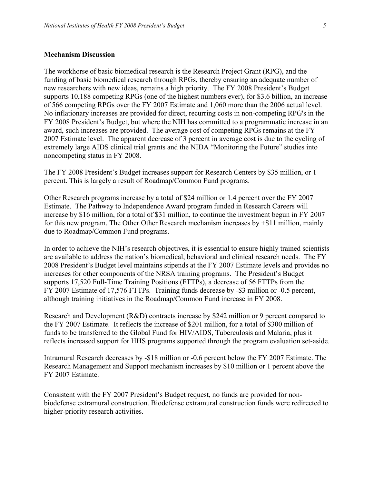## **Mechanism Discussion**

The workhorse of basic biomedical research is the Research Project Grant (RPG), and the funding of basic biomedical research through RPGs, thereby ensuring an adequate number of new researchers with new ideas, remains a high priority. The FY 2008 President's Budget supports 10,188 competing RPGs (one of the highest numbers ever), for \$3.6 billion, an increase of 566 competing RPGs over the FY 2007 Estimate and 1,060 more than the 2006 actual level. No inflationary increases are provided for direct, recurring costs in non-competing RPG's in the FY 2008 President's Budget, but where the NIH has committed to a programmatic increase in an award, such increases are provided. The average cost of competing RPGs remains at the FY 2007 Estimate level. The apparent decrease of 3 percent in average cost is due to the cycling of extremely large AIDS clinical trial grants and the NIDA "Monitoring the Future" studies into noncompeting status in FY 2008.

The FY 2008 President's Budget increases support for Research Centers by \$35 million, or 1 percent. This is largely a result of Roadmap/Common Fund programs.

Other Research programs increase by a total of \$24 million or 1.4 percent over the FY 2007 Estimate. The Pathway to Independence Award program funded in Research Careers will increase by \$16 million, for a total of \$31 million, to continue the investment begun in FY 2007 for this new program. The Other Other Research mechanism increases by +\$11 million, mainly due to Roadmap/Common Fund programs.

In order to achieve the NIH's research objectives, it is essential to ensure highly trained scientists are available to address the nation's biomedical, behavioral and clinical research needs. The FY 2008 President's Budget level maintains stipends at the FY 2007 Estimate levels and provides no increases for other components of the NRSA training programs. The President's Budget supports 17,520 Full-Time Training Positions (FTTPs), a decrease of 56 FTTPs from the FY 2007 Estimate of 17,576 FTTPs. Training funds decrease by -\$3 million or -0.5 percent, although training initiatives in the Roadmap/Common Fund increase in FY 2008.

Research and Development (R&D) contracts increase by \$242 million or 9 percent compared to the FY 2007 Estimate. It reflects the increase of \$201 million, for a total of \$300 million of funds to be transferred to the Global Fund for HIV/AIDS, Tuberculosis and Malaria, plus it reflects increased support for HHS programs supported through the program evaluation set-aside.

Intramural Research decreases by -\$18 million or -0.6 percent below the FY 2007 Estimate. The Research Management and Support mechanism increases by \$10 million or 1 percent above the FY 2007 Estimate.

Consistent with the FY 2007 President's Budget request, no funds are provided for nonbiodefense extramural construction. Biodefense extramural construction funds were redirected to higher-priority research activities.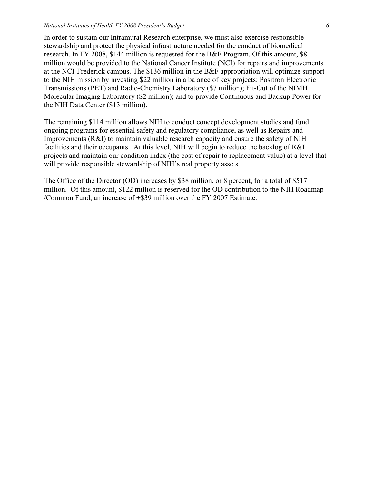#### *National Institutes of Health FY 2008 President's Budget 6*

In order to sustain our Intramural Research enterprise, we must also exercise responsible stewardship and protect the physical infrastructure needed for the conduct of biomedical research. In FY 2008, \$144 million is requested for the B&F Program. Of this amount, \$8 million would be provided to the National Cancer Institute (NCI) for repairs and improvements at the NCI-Frederick campus. The \$136 million in the B&F appropriation will optimize support to the NIH mission by investing \$22 million in a balance of key projects: Positron Electronic Transmissions (PET) and Radio-Chemistry Laboratory (\$7 million); Fit-Out of the NIMH Molecular Imaging Laboratory (\$2 million); and to provide Continuous and Backup Power for the NIH Data Center (\$13 million).

The remaining \$114 million allows NIH to conduct concept development studies and fund ongoing programs for essential safety and regulatory compliance, as well as Repairs and Improvements (R&I) to maintain valuable research capacity and ensure the safety of NIH facilities and their occupants. At this level, NIH will begin to reduce the backlog of R&I projects and maintain our condition index (the cost of repair to replacement value) at a level that will provide responsible stewardship of NIH's real property assets.

The Office of the Director (OD) increases by \$38 million, or 8 percent, for a total of \$517 million. Of this amount, \$122 million is reserved for the OD contribution to the NIH Roadmap /Common Fund, an increase of +\$39 million over the FY 2007 Estimate.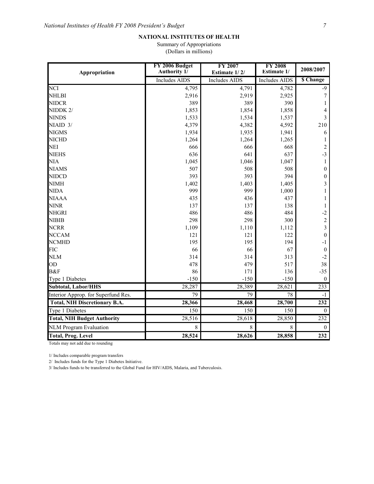Summary of Appropriations (Dollars in millions)

| Appropriation                        | FY 2006 Budget<br>Authority 1/ | <b>FY 2007</b><br>Estimate 1/2/       | <b>FY 2008</b><br><b>Estimate 1/</b> | 2008/2007        |  |
|--------------------------------------|--------------------------------|---------------------------------------|--------------------------------------|------------------|--|
|                                      | <b>Includes AIDS</b>           | <b>Includes AIDS</b><br>Includes AIDS |                                      | \$ Change        |  |
| <b>NCI</b>                           | 4,795                          | 4,791                                 | 4,782                                | $-9$             |  |
| <b>NHLBI</b>                         | 2,916                          | 2,919                                 | 2,925                                | 7                |  |
| <b>NIDCR</b>                         | 389                            | 389                                   | 390                                  | 1                |  |
| NIDDK 2/                             | 1,853                          | 1,854                                 | 1,858                                | 4                |  |
| <b>NINDS</b>                         | 1,533                          | 1,534                                 | 1,537                                | 3                |  |
| NIAID 3/                             | 4,379                          | 4,382                                 | 4,592                                | 210              |  |
| <b>NIGMS</b>                         | 1,934                          | 1,935                                 | 1,941                                | 6                |  |
| <b>NICHD</b>                         | 1,264                          | 1,264                                 | 1,265                                |                  |  |
| <b>NEI</b>                           | 666                            | 666                                   | 668                                  | $\overline{2}$   |  |
| <b>NIEHS</b>                         | 636                            | 641                                   | 637                                  | $-3$             |  |
| <b>NIA</b>                           | 1,045                          | 1,046                                 | 1,047                                | 1                |  |
| <b>NIAMS</b>                         | 507                            | 508                                   | 508                                  | $\theta$         |  |
| <b>NIDCD</b>                         | 393                            | 393                                   | 394                                  | $\boldsymbol{0}$ |  |
| <b>NIMH</b>                          | 1,402                          | 1,403                                 | 1,405                                | 3                |  |
| <b>NIDA</b>                          | 999                            | 999                                   | 1,000                                |                  |  |
| <b>NIAAA</b>                         | 435                            | 436                                   | 437                                  |                  |  |
| <b>NINR</b>                          | 137                            | 137                                   | 138                                  | 1                |  |
| <b>NHGRI</b>                         | 486                            | 486                                   | 484                                  | $-2$             |  |
| <b>NIBIB</b>                         | 298                            | 298                                   | 300                                  | $\overline{c}$   |  |
| <b>NCRR</b>                          | 1,109                          | 1,110                                 | 1,112                                | $\overline{3}$   |  |
| <b>NCCAM</b>                         | 121                            | 121                                   | 122                                  | $\mathbf{0}$     |  |
| <b>NCMHD</b>                         | 195                            | 195                                   | 194                                  | -1               |  |
| <b>FIC</b>                           | 66                             | 66                                    | 67                                   | $\mathbf{0}$     |  |
| <b>NLM</b>                           | 314                            | 314                                   | 313                                  | $-2$             |  |
| OD                                   | 478                            | 479                                   | 517                                  | 38               |  |
| <b>B&amp;F</b>                       | 86                             | 171                                   | 136                                  | $-35$            |  |
| Type 1 Diabetes                      | $-150$                         | $-150$                                | $-150$                               | $\boldsymbol{0}$ |  |
| <b>Subtotal, Labor/HHS</b>           | 28,287                         | 28,389                                | 28,621                               | 233              |  |
| Interior Approp. for Superfund Res.  | 79                             | 79                                    | 78                                   | $-1$             |  |
| <b>Total, NIH Discretionary B.A.</b> | 28,366                         | 28,468                                | 28,700                               | 232              |  |
| <b>Type 1 Diabetes</b>               | 150                            | 150                                   | 150                                  | $\mathbf{0}$     |  |
| <b>Total, NIH Budget Authority</b>   | 28,516                         | 28,618                                | 28,850                               | 232              |  |
| <b>NLM Program Evaluation</b>        | 8                              | $\,8\,$                               | 8                                    | $\boldsymbol{0}$ |  |
| <b>Total, Prog. Level</b>            | 28,524                         | 28,626                                | 28,858                               | 232              |  |

Totals may not add due to rounding

1/ Includes comparable program transfers

2/ Includes funds for the Type 1 Diabetes Initiative.

3/ Includes funds to be transferred to the Global Fund for HIV/AIDS, Malaria, and Tuberculosis.